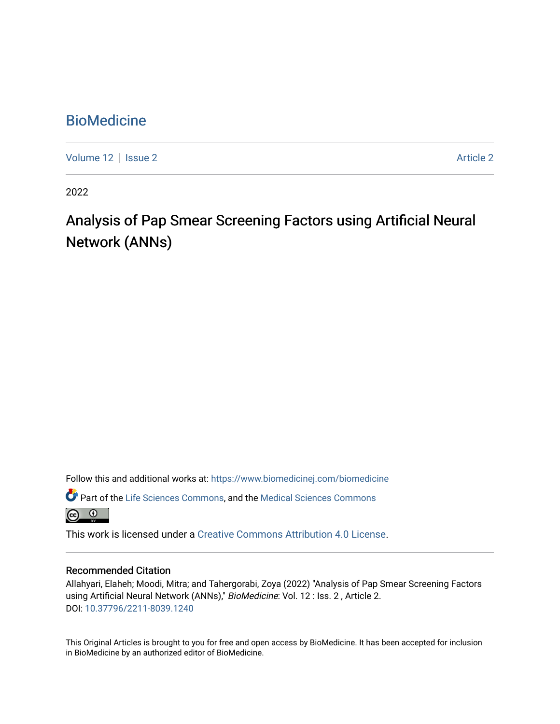# **BioMedicine**

[Volume 12](https://www.biomedicinej.com/biomedicine/vol12) | [Issue 2](https://www.biomedicinej.com/biomedicine/vol12/iss2) Article 2

2022

# Analysis of Pap Smear Screening Factors using Artificial Neural Network (ANNs)

Follow this and additional works at: [https://www.biomedicinej.com/biomedicine](https://www.biomedicinej.com/biomedicine?utm_source=www.biomedicinej.com%2Fbiomedicine%2Fvol12%2Fiss2%2F2&utm_medium=PDF&utm_campaign=PDFCoverPages)

Part of the [Life Sciences Commons,](https://network.bepress.com/hgg/discipline/1016?utm_source=www.biomedicinej.com%2Fbiomedicine%2Fvol12%2Fiss2%2F2&utm_medium=PDF&utm_campaign=PDFCoverPages) and the [Medical Sciences Commons](https://network.bepress.com/hgg/discipline/664?utm_source=www.biomedicinej.com%2Fbiomedicine%2Fvol12%2Fiss2%2F2&utm_medium=PDF&utm_campaign=PDFCoverPages)

This work is licensed under a [Creative Commons Attribution 4.0 License](https://creativecommons.org/licenses/by/4.0/).

# Recommended Citation

Allahyari, Elaheh; Moodi, Mitra; and Tahergorabi, Zoya (2022) "Analysis of Pap Smear Screening Factors using Artificial Neural Network (ANNs)," BioMedicine: Vol. 12 : Iss. 2 , Article 2. DOI: [10.37796/2211-8039.1240](https://doi.org/10.37796/2211-8039.1240) 

This Original Articles is brought to you for free and open access by BioMedicine. It has been accepted for inclusion in BioMedicine by an authorized editor of BioMedicine.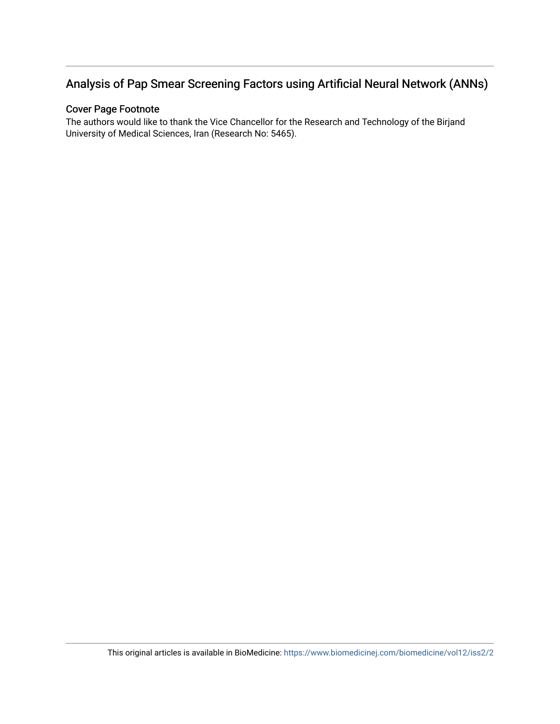# Analysis of Pap Smear Screening Factors using Artificial Neural Network (ANNs)

# Cover Page Footnote

The authors would like to thank the Vice Chancellor for the Research and Technology of the Birjand University of Medical Sciences, Iran (Research No: 5465).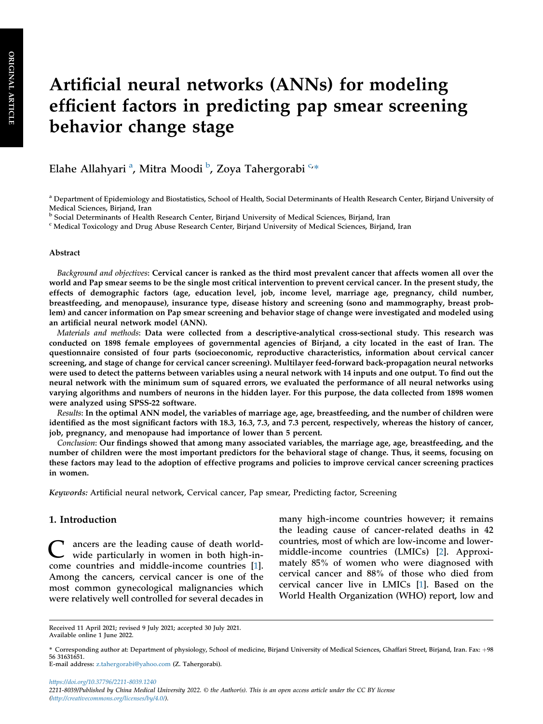# Artificial neural networks (ANNs) for modeling efficient factors in predicting pap smear screening behavior change stage

El[a](#page-2-0)he Allahyari <sup>a</sup>, Mitra Moodi <sup>[b](#page-2-1)</sup>, Zoya Tahergorabi <sup>[c](#page-2-2),</sup>\*

#### Abstract

Background and objectives: Cervical cancer is ranked as the third most prevalent cancer that affects women all over the world and Pap smear seems to be the single most critical intervention to prevent cervical cancer. In the present study, the effects of demographic factors (age, education level, job, income level, marriage age, pregnancy, child number, breastfeeding, and menopause), insurance type, disease history and screening (sono and mammography, breast problem) and cancer information on Pap smear screening and behavior stage of change were investigated and modeled using an artificial neural network model (ANN).

Materials and methods: Data were collected from a descriptive-analytical cross-sectional study. This research was conducted on 1898 female employees of governmental agencies of Birjand, a city located in the east of Iran. The questionnaire consisted of four parts (socioeconomic, reproductive characteristics, information about cervical cancer screening, and stage of change for cervical cancer screening). Multilayer feed-forward back-propagation neural networks were used to detect the patterns between variables using a neural network with 14 inputs and one output. To find out the neural network with the minimum sum of squared errors, we evaluated the performance of all neural networks using varying algorithms and numbers of neurons in the hidden layer. For this purpose, the data collected from 1898 women were analyzed using SPSS-22 software.

Results: In the optimal ANN model, the variables of marriage age, age, breastfeeding, and the number of children were identified as the most significant factors with 18.3, 16.3, 7.3, and 7.3 percent, respectively, whereas the history of cancer, job, pregnancy, and menopause had importance of lower than 5 percent.

Conclusion: Our findings showed that among many associated variables, the marriage age, age, breastfeeding, and the number of children were the most important predictors for the behavioral stage of change. Thus, it seems, focusing on these factors may lead to the adoption of effective programs and policies to improve cervical cancer screening practices in women.

Keywords: Artificial neural network, Cervical cancer, Pap smear, Predicting factor, Screening

# 1. Introduction

C ancers are the leading cause of death world-wide particularly in women in both high-income countries and middle-income countries [\[1](#page-9-0)]. Among the cancers, cervical cancer is one of the most common gynecological malignancies which were relatively well controlled for several decades in many high-income countries however; it remains the leading cause of cancer-related deaths in 42 countries, most of which are low-income and lowermiddle-income countries (LMICs) [[2\]](#page-9-1). Approximately 85% of women who were diagnosed with cervical cancer and 88% of those who died from cervical cancer live in LMICs [[1\]](#page-9-0). Based on the World Health Organization (WHO) report, low and

<https://doi.org/10.37796/2211-8039.1240> 2211-8039/Published by China Medical University 2022. © the Author(s). This is an open access article under the CC BY license [\(http://creativecommons.org/licenses/by/4.0/](http://creativecommons.org/licenses/by/4.0/)).

<span id="page-2-0"></span>a Department of Epidemiology and Biostatistics, School of Health, Social Determinants of Health Research Center, Birjand University of Medical Sciences, Birjand, Iran

<span id="page-2-1"></span><sup>b</sup> Social Determinants of Health Research Center, Birjand University of Medical Sciences, Birjand, Iran

<span id="page-2-2"></span><sup>c</sup> Medical Toxicology and Drug Abuse Research Center, Birjand University of Medical Sciences, Birjand, Iran

Received 11 April 2021; revised 9 July 2021; accepted 30 July 2021. Available online 1 June 2022.

<sup>\*</sup> Corresponding author at: Department of physiology, School of medicine, Birjand University of Medical Sciences, Ghaffari Street, Birjand, Iran. Fax: þ98 56 31631651.

E-mail address: [z.tahergorabi@yahoo.com](mailto:z.tahergorabi@yahoo.com) (Z. Tahergorabi).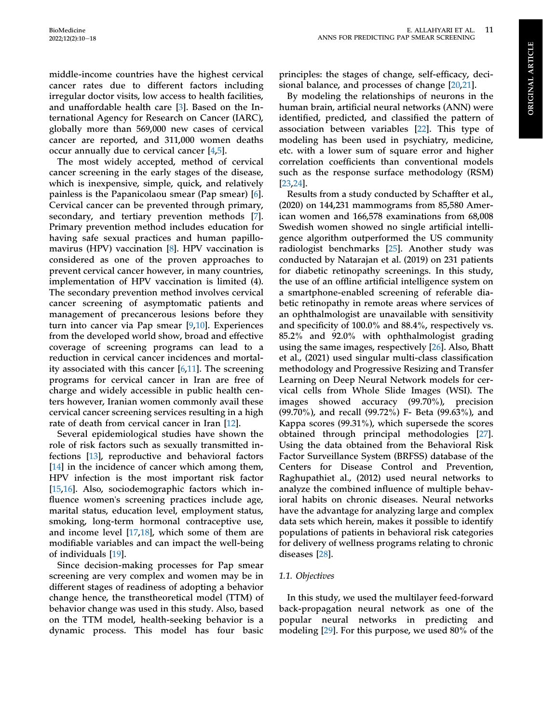**ORIGINAL ARTICLE** ORIGINAL ARTICLE

middle-income countries have the highest cervical cancer rates due to different factors including irregular doctor visits, low access to health facilities, and unaffordable health care [[3\]](#page-9-2). Based on the International Agency for Research on Cancer (IARC), globally more than 569,000 new cases of cervical cancer are reported, and 311,000 women deaths occur annually due to cervical cancer [[4](#page-9-3),[5](#page-9-4)].

The most widely accepted, method of cervical cancer screening in the early stages of the disease, which is inexpensive, simple, quick, and relatively painless is the Papanicolaou smear (Pap smear) [\[6](#page-9-5)]. Cervical cancer can be prevented through primary, secondary, and tertiary prevention methods [\[7](#page-9-6)]. Primary prevention method includes education for having safe sexual practices and human papillomavirus (HPV) vaccination [[8\]](#page-9-7). HPV vaccination is considered as one of the proven approaches to prevent cervical cancer however, in many countries, implementation of HPV vaccination is limited (4). The secondary prevention method involves cervical cancer screening of asymptomatic patients and management of precancerous lesions before they turn into cancer via Pap smear [\[9](#page-9-8),[10\]](#page-9-9). Experiences from the developed world show, broad and effective coverage of screening programs can lead to a reduction in cervical cancer incidences and mortality associated with this cancer [\[6](#page-9-5),[11](#page-9-10)]. The screening programs for cervical cancer in Iran are free of charge and widely accessible in public health centers however, Iranian women commonly avail these cervical cancer screening services resulting in a high rate of death from cervical cancer in Iran [[12\]](#page-9-11).

Several epidemiological studies have shown the role of risk factors such as sexually transmitted infections [[13\]](#page-9-12), reproductive and behavioral factors [\[14](#page-9-13)] in the incidence of cancer which among them, HPV infection is the most important risk factor [\[15](#page-9-14),[16\]](#page-9-15). Also, sociodemographic factors which influence women's screening practices include age, marital status, education level, employment status, smoking, long-term hormonal contraceptive use, and income level [[17,](#page-9-16)[18](#page-9-17)], which some of them are modifiable variables and can impact the well-being of individuals [\[19\]](#page-9-18).

Since decision-making processes for Pap smear screening are very complex and women may be in different stages of readiness of adopting a behavior change hence, the transtheoretical model (TTM) of behavior change was used in this study. Also, based on the TTM model, health-seeking behavior is a dynamic process. This model has four basic

principles: the stages of change, self-efficacy, decisional balance, and processes of change [[20](#page-9-19)[,21](#page-9-20)].

By modeling the relationships of neurons in the human brain, artificial neural networks (ANN) were identified, predicted, and classified the pattern of association between variables [[22\]](#page-9-21). This type of modeling has been used in psychiatry, medicine, etc. with a lower sum of square error and higher correlation coefficients than conventional models such as the response surface methodology (RSM) [\[23](#page-9-22),[24\]](#page-9-23).

Results from a study conducted by Schaffter et al., (2020) on 144,231 mammograms from 85,580 American women and 166,578 examinations from 68,008 Swedish women showed no single artificial intelligence algorithm outperformed the US community radiologist benchmarks [\[25](#page-9-24)]. Another study was conducted by Natarajan et al. (2019) on 231 patients for diabetic retinopathy screenings. In this study, the use of an offline artificial intelligence system on a smartphone-enabled screening of referable diabetic retinopathy in remote areas where services of an ophthalmologist are unavailable with sensitivity and specificity of 100.0% and 88.4%, respectively vs. 85.2% and 92.0% with ophthalmologist grading using the same images, respectively [[26\]](#page-9-25). Also, Bhatt et al., (2021) used singular multi-class classification methodology and Progressive Resizing and Transfer Learning on Deep Neural Network models for cervical cells from Whole Slide Images (WSI). The images showed accuracy (99.70%), precision (99.70%), and recall (99.72%) F- Beta (99.63%), and Kappa scores (99.31%), which supersede the scores obtained through principal methodologies [[27\]](#page-9-26). Using the data obtained from the Behavioral Risk Factor Surveillance System (BRFSS) database of the Centers for Disease Control and Prevention, Raghupathiet al., (2012) used neural networks to analyze the combined influence of multiple behavioral habits on chronic diseases. Neural networks have the advantage for analyzing large and complex data sets which herein, makes it possible to identify populations of patients in behavioral risk categories for delivery of wellness programs relating to chronic diseases [[28\]](#page-10-0).

#### 1.1. Objectives

In this study, we used the multilayer feed-forward back-propagation neural network as one of the popular neural networks in predicting and modeling [\[29](#page-10-1)]. For this purpose, we used 80% of the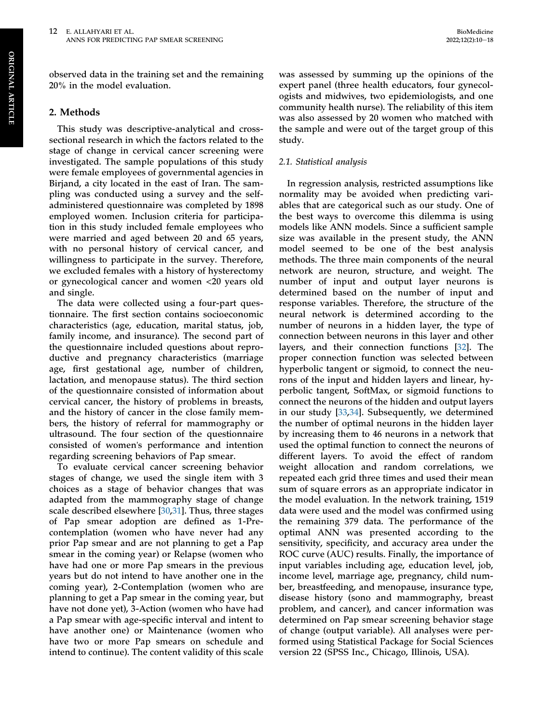observed data in the training set and the remaining 20% in the model evaluation.

# 2. Methods

This study was descriptive-analytical and crosssectional research in which the factors related to the stage of change in cervical cancer screening were investigated. The sample populations of this study were female employees of governmental agencies in Birjand, a city located in the east of Iran. The sampling was conducted using a survey and the selfadministered questionnaire was completed by 1898 employed women. Inclusion criteria for participation in this study included female employees who were married and aged between 20 and 65 years, with no personal history of cervical cancer, and willingness to participate in the survey. Therefore, we excluded females with a history of hysterectomy or gynecological cancer and women <20 years old and single.

The data were collected using a four-part questionnaire. The first section contains socioeconomic characteristics (age, education, marital status, job, family income, and insurance). The second part of the questionnaire included questions about reproductive and pregnancy characteristics (marriage age, first gestational age, number of children, lactation, and menopause status). The third section of the questionnaire consisted of information about cervical cancer, the history of problems in breasts, and the history of cancer in the close family members, the history of referral for mammography or ultrasound. The four section of the questionnaire consisted of women's performance and intention regarding screening behaviors of Pap smear.

To evaluate cervical cancer screening behavior stages of change, we used the single item with 3 choices as a stage of behavior changes that was adapted from the mammography stage of change scale described elsewhere [[30,](#page-10-2)[31](#page-10-3)]. Thus, three stages of Pap smear adoption are defined as 1-Precontemplation (women who have never had any prior Pap smear and are not planning to get a Pap smear in the coming year) or Relapse (women who have had one or more Pap smears in the previous years but do not intend to have another one in the coming year), 2-Contemplation (women who are planning to get a Pap smear in the coming year, but have not done yet), 3-Action (women who have had a Pap smear with age-specific interval and intent to have another one) or Maintenance (women who have two or more Pap smears on schedule and intend to continue). The content validity of this scale

was assessed by summing up the opinions of the expert panel (three health educators, four gynecologists and midwives, two epidemiologists, and one community health nurse). The reliability of this item was also assessed by 20 women who matched with the sample and were out of the target group of this study.

#### 2.1. Statistical analysis

In regression analysis, restricted assumptions like normality may be avoided when predicting variables that are categorical such as our study. One of the best ways to overcome this dilemma is using models like ANN models. Since a sufficient sample size was available in the present study, the ANN model seemed to be one of the best analysis methods. The three main components of the neural network are neuron, structure, and weight. The number of input and output layer neurons is determined based on the number of input and response variables. Therefore, the structure of the neural network is determined according to the number of neurons in a hidden layer, the type of connection between neurons in this layer and other layers, and their connection functions [[32\]](#page-10-4). The proper connection function was selected between hyperbolic tangent or sigmoid, to connect the neurons of the input and hidden layers and linear, hyperbolic tangent, SoftMax, or sigmoid functions to connect the neurons of the hidden and output layers in our study [\[33](#page-10-5),[34\]](#page-10-6). Subsequently, we determined the number of optimal neurons in the hidden layer by increasing them to 46 neurons in a network that used the optimal function to connect the neurons of different layers. To avoid the effect of random weight allocation and random correlations, we repeated each grid three times and used their mean sum of square errors as an appropriate indicator in the model evaluation. In the network training, 1519 data were used and the model was confirmed using the remaining 379 data. The performance of the optimal ANN was presented according to the sensitivity, specificity, and accuracy area under the ROC curve (AUC) results. Finally, the importance of input variables including age, education level, job, income level, marriage age, pregnancy, child number, breastfeeding, and menopause, insurance type, disease history (sono and mammography, breast problem, and cancer), and cancer information was determined on Pap smear screening behavior stage of change (output variable). All analyses were performed using Statistical Package for Social Sciences version 22 (SPSS Inc., Chicago, Illinois, USA).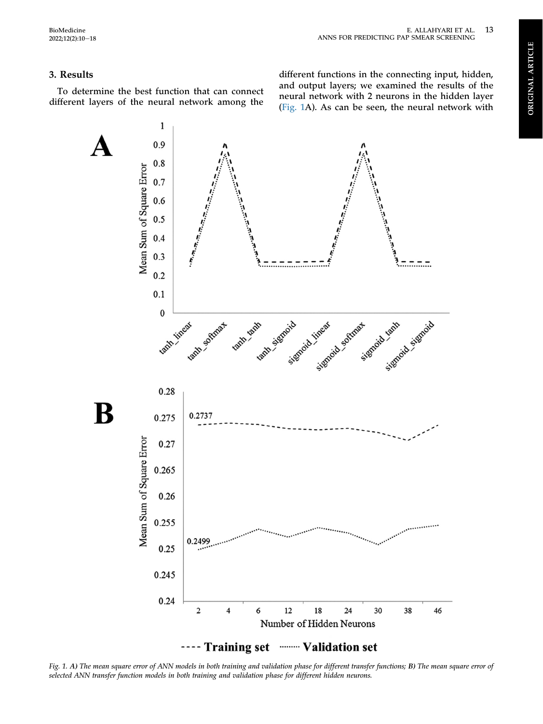# 3. Results

<span id="page-5-0"></span>To determine the best function that can connect different layers of the neural network among the

different functions in the connecting input, hidden, and output layers; we examined the results of the neural network with 2 neurons in the hidden layer [\(Fig. 1A](#page-5-0)). As can be seen, the neural network with



Fig. 1. A) The mean square error of ANN models in both training and validation phase for different transfer functions; B) The mean square error of selected ANN transfer function models in both training and validation phase for different hidden neurons.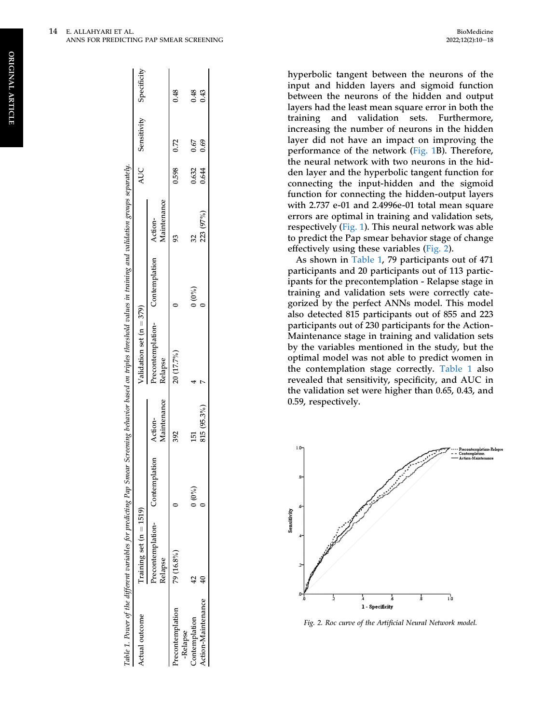hyperbolic tangent between the neurons of the input and hidden layers and sigmoid function between the neurons of the hidden and output layers had the least mean square error in both the training and validation sets. Furthermore, increasing the number of neurons in the hidden layer did not have an impact on improving the performance of the network [\(Fig. 1B](#page-5-0)). Therefore, the neural network with two neurons in the hidden layer and the hyperbolic tangent function for connecting the input-hidden and the sigmoid function for connecting the hidden-output layers with 2.737 e-01 and 2.4996e-01 total mean square errors are optimal in training and validation sets, respectively ([Fig. 1\)](#page-5-0). This neural network was able to predict the Pap smear behavior stage of change effectively using these variables [\(Fig. 2](#page-6-0)).

As shown in [Table 1](#page-6-1), 79 participants out of 471 participants and 20 participants out of 113 participants for the precontemplation - Relapse stage in training and validation sets were correctly categorized by the perfect ANNs model. This model also detected 815 participants out of 855 and 223 participants out of 230 participants for the Action-Maintenance stage in training and validation sets by the variables mentioned in the study, but the optimal model was not able to predict women in the contemplation stage correctly. [Table 1](#page-6-1) also revealed that sensitivity, speci ficity, and AUC in the validation set were higher than 0.65, 0.43, and 0.59, respectively.

<span id="page-6-0"></span>

Fig. 2. Roc curve of the Artificial Neural Network model.

<span id="page-6-1"></span>

|                            | able 1. Power of the different variables for predicting Pap Smear Screening behavior based on triples threshold values in training and validation groups separately. |         |                        |                                                    |         |             |            |                             |      |
|----------------------------|----------------------------------------------------------------------------------------------------------------------------------------------------------------------|---------|------------------------|----------------------------------------------------|---------|-------------|------------|-----------------------------|------|
| <b>Actual outcome</b>      | Iraining set $(n = 1519)$                                                                                                                                            |         |                        | Validation set $(n = 379)$                         |         |             |            | AUC Sensitivity Specificity |      |
|                            | recontemplation- Contemplation<br>Relapse                                                                                                                            |         | Maintenance<br>Action- | Precontemplation- Contemplation Action-<br>Relapse |         | Maintenance |            |                             |      |
| recontemplation<br>Relapse | 79 (16.8%)                                                                                                                                                           |         |                        | 20 (17.7%)                                         |         |             | 0.598 0.72 |                             | 0.48 |
| Contemplation              |                                                                                                                                                                      | $(0\%)$ |                        |                                                    | $(0\%)$ |             | 0.632      | 0.67                        | 0.48 |
| Action-Maintenance         |                                                                                                                                                                      |         | 815 (95.3%)            |                                                    |         | 223 (97%)   | 0.644      | 0.69                        | 0.43 |

Action-Maintenance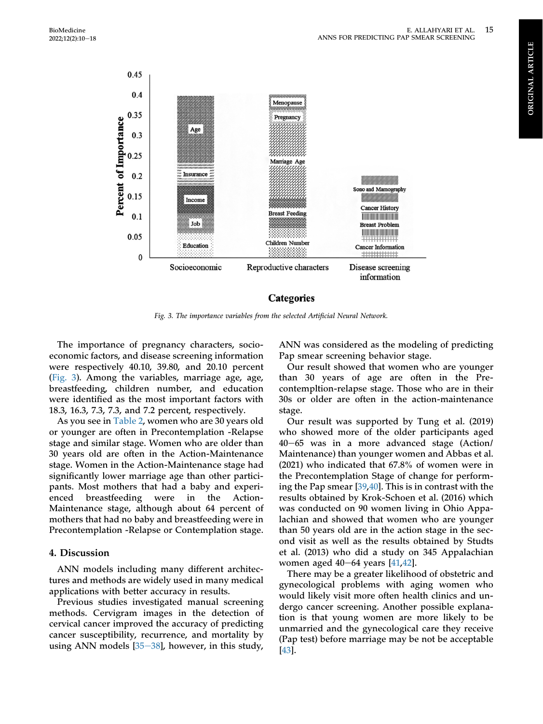<span id="page-7-0"></span>

#### Categories

Fig. 3. The importance variables from the selected Artificial Neural Network.

The importance of pregnancy characters, socioeconomic factors, and disease screening information were respectively 40.10, 39.80, and 20.10 percent [\(Fig. 3\)](#page-7-0). Among the variables, marriage age, age, breastfeeding, children number, and education were identified as the most important factors with 18.3, 16.3, 7.3, 7.3, and 7.2 percent, respectively.

As you see in [Table 2,](#page-8-0) women who are 30 years old or younger are often in Precontemplation -Relapse stage and similar stage. Women who are older than 30 years old are often in the Action-Maintenance stage. Women in the Action-Maintenance stage had significantly lower marriage age than other participants. Most mothers that had a baby and experienced breastfeeding were in the Action-Maintenance stage, although about 64 percent of mothers that had no baby and breastfeeding were in Precontemplation -Relapse or Contemplation stage.

#### 4. Discussion

ANN models including many different architectures and methods are widely used in many medical applications with better accuracy in results.

Previous studies investigated manual screening methods. Cervigram images in the detection of cervical cancer improved the accuracy of predicting cancer susceptibility, recurrence, and mortality by using ANN models  $[35-38]$  $[35-38]$  $[35-38]$  $[35-38]$  $[35-38]$ , however, in this study,

ANN was considered as the modeling of predicting Pap smear screening behavior stage.

Our result showed that women who are younger than 30 years of age are often in the Precontempltion-relapse stage. Those who are in their 30s or older are often in the action-maintenance stage.

Our result was supported by Tung et al. (2019) who showed more of the older participants aged  $40-65$  was in a more advanced stage (Action/ Maintenance) than younger women and Abbas et al. (2021) who indicated that 67.8% of women were in the Precontemplation Stage of change for performing the Pap smear [[39,](#page-10-8)[40](#page-10-9)]. This is in contrast with the results obtained by Krok-Schoen et al. (2016) which was conducted on 90 women living in Ohio Appalachian and showed that women who are younger than 50 years old are in the action stage in the second visit as well as the results obtained by Studts et al. (2013) who did a study on 345 Appalachian women aged  $40-64$  years  $[41, 42]$  $[41, 42]$  $[41, 42]$ .

There may be a greater likelihood of obstetric and gynecological problems with aging women who would likely visit more often health clinics and undergo cancer screening. Another possible explanation is that young women are more likely to be unmarried and the gynecological care they receive (Pap test) before marriage may be not be acceptable [\[43](#page-10-12)].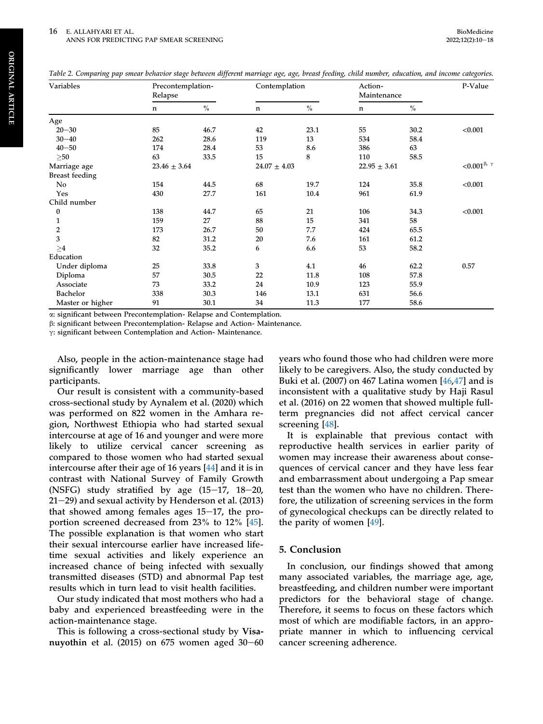<span id="page-8-0"></span>

|  | Table 2. Comparing pap smear behavior stage between different marriage age, age, breast feeding, child number, education, and income categories. |  |  |  |  |
|--|--------------------------------------------------------------------------------------------------------------------------------------------------|--|--|--|--|
|--|--------------------------------------------------------------------------------------------------------------------------------------------------|--|--|--|--|

| Variables             | Precontemplation-<br>Relapse |               | Contemplation    |               | Action-<br>Maintenance |               | P-Value                     |
|-----------------------|------------------------------|---------------|------------------|---------------|------------------------|---------------|-----------------------------|
|                       | n                            | $\frac{0}{0}$ | $\mathbf n$      | $\frac{0}{0}$ | n                      | $\frac{0}{0}$ |                             |
| Age                   |                              |               |                  |               |                        |               |                             |
| $20 - 30$             | 85                           | 46.7          | 42               | 23.1          | 55                     | 30.2          | < 0.001                     |
| $30 - 40$             | 262                          | 28.6          | 119              | 13            | 534                    | 58.4          |                             |
| $40 - 50$             | 174                          | 28.4          | 53               | 8.6           | 386                    | 63            |                             |
| $\geq 50$             | 63                           | 33.5          | 15               | 8             | 110                    | 58.5          |                             |
| Marriage age          | $23.46 \pm 3.64$             |               | $24.07 \pm 4.03$ |               | $22.95 \pm 3.61$       |               | ${<}0.001^{\beta,\ \gamma}$ |
| <b>Breast feeding</b> |                              |               |                  |               |                        |               |                             |
| No                    | 154                          | 44.5          | 68               | 19.7          | 124                    | 35.8          | < 0.001                     |
| Yes                   | 430                          | 27.7          | 161              | 10.4          | 961                    | 61.9          |                             |
| Child number          |                              |               |                  |               |                        |               |                             |
| $\boldsymbol{0}$      | 138                          | 44.7          | 65               | 21            | 106                    | 34.3          | < 0.001                     |
| 1                     | 159                          | 27            | 88               | 15            | 341                    | 58            |                             |
| 2                     | 173                          | 26.7          | 50               | 7.7           | 424                    | 65.5          |                             |
| 3                     | 82                           | 31.2          | 20               | 7.6           | 161                    | 61.2          |                             |
| >4                    | 32                           | 35.2          | 6                | 6.6           | 53                     | 58.2          |                             |
| Education             |                              |               |                  |               |                        |               |                             |
| Under diploma         | 25                           | 33.8          | 3                | 4.1           | 46                     | 62.2          | 0.57                        |
| Diploma               | 57                           | 30.5          | 22               | 11.8          | 108                    | 57.8          |                             |
| Associate             | 73                           | 33.2          | 24               | 10.9          | 123                    | 55.9          |                             |
| Bachelor              | 338                          | 30.3          | 146              | 13.1          | 631                    | 56.6          |                             |
| Master or higher      | 91                           | 30.1          | 34               | 11.3          | 177                    | 58.6          |                             |

a: significant between Precontemplation- Relapse and Contemplation.

b: significant between Precontemplation- Relapse and Action- Maintenance.

g: significant between Contemplation and Action- Maintenance.

Also, people in the action-maintenance stage had significantly lower marriage age than other participants.

Our result is consistent with a community-based cross-sectional study by Aynalem et al. (2020) which was performed on 822 women in the Amhara region, Northwest Ethiopia who had started sexual intercourse at age of 16 and younger and were more likely to utilize cervical cancer screening as compared to those women who had started sexual intercourse after their age of 16 years [\[44](#page-10-13)] and it is in contrast with National Survey of Family Growth (NSFG) study stratified by age  $(15-17, 18-20,$  $21-29$ ) and sexual activity by Henderson et al. (2013) that showed among females ages  $15-17$ , the proportion screened decreased from 23% to 12% [\[45](#page-10-14)]. The possible explanation is that women who start their sexual intercourse earlier have increased lifetime sexual activities and likely experience an increased chance of being infected with sexually transmitted diseases (STD) and abnormal Pap test results which in turn lead to visit health facilities.

Our study indicated that most mothers who had a baby and experienced breastfeeding were in the action-maintenance stage.

This is following a cross-sectional study by Visanuyothin et al.  $(2015)$  on 675 women aged 30-60 years who found those who had children were more likely to be caregivers. Also, the study conducted by Buki et al. (2007) on 467 Latina women [[46](#page-10-15)[,47](#page-10-16)] and is inconsistent with a qualitative study by Haji Rasul et al. (2016) on 22 women that showed multiple fullterm pregnancies did not affect cervical cancer screening [\[48](#page-10-17)].

It is explainable that previous contact with reproductive health services in earlier parity of women may increase their awareness about consequences of cervical cancer and they have less fear and embarrassment about undergoing a Pap smear test than the women who have no children. Therefore, the utilization of screening services in the form of gynecological checkups can be directly related to the parity of women [[49\]](#page-10-18).

# 5. Conclusion

In conclusion, our findings showed that among many associated variables, the marriage age, age, breastfeeding, and children number were important predictors for the behavioral stage of change. Therefore, it seems to focus on these factors which most of which are modifiable factors, in an appropriate manner in which to influencing cervical cancer screening adherence.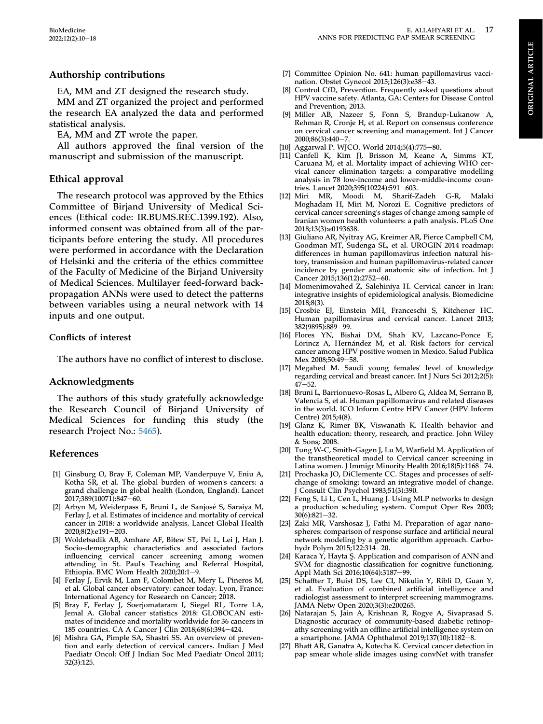# Authorship contributions

EA, MM and ZT designed the research study.

MM and ZT organized the project and performed the research EA analyzed the data and performed statistical analysis.

EA, MM and ZT wrote the paper.

All authors approved the final version of the manuscript and submission of the manuscript.

# Ethical approval

The research protocol was approved by the Ethics Committee of Birjand University of Medical Sciences (Ethical code: IR.BUMS.REC.1399.192). Also, informed consent was obtained from all of the participants before entering the study. All procedures were performed in accordance with the Declaration of Helsinki and the criteria of the ethics committee of the Faculty of Medicine of the Birjand University of Medical Sciences. Multilayer feed-forward backpropagation ANNs were used to detect the patterns between variables using a neural network with 14 inputs and one output.

# Conflicts of interest

The authors have no conflict of interest to disclose.

# Acknowledgments

The authors of this study gratefully acknowledge the Research Council of Birjand University of Medical Sciences for funding this study (the research Project No.: [5465](http://research.bums.ac.ir/general/cartable.action)).

# References

- <span id="page-9-0"></span>[1] Ginsburg O, Bray F, Coleman MP, Vanderpuye V, Eniu A, Kotha SR, et al. The global burden of women's cancers: a grand challenge in global health (London, England). Lancet 2017;389(10071):847-60.
- <span id="page-9-1"></span>[2] Arbyn M, Weiderpass E, Bruni L, de Sanjose S, Saraiya M, Ferlay J, et al. Estimates of incidence and mortality of cervical cancer in 2018: a worldwide analysis. Lancet Global Health 2020:8(2):e191-203.
- <span id="page-9-2"></span>[3] Woldetsadik AB, Amhare AF, Bitew ST, Pei L, Lei J, Han J. Socio-demographic characteristics and associated factors influencing cervical cancer screening among women attending in St. Paul's Teaching and Referral Hospital, Ethiopia. BMC Wom Health  $2020;20:1-9$ .
- <span id="page-9-3"></span>[4] Ferlay J, Ervik M, Lam F, Colombet M, Mery L, Piñeros M, et al. Global cancer observatory: cancer today. Lyon, France: International Agency for Research on Cancer; 2018.
- <span id="page-9-4"></span>[5] Bray F, Ferlay J, Soerjomataram I, Siegel RL, Torre LA, Jemal A. Global cancer statistics 2018: GLOBOCAN estimates of incidence and mortality worldwide for 36 cancers in 185 countries. CA A Cancer J Clin 2018;68(6):394-424.
- <span id="page-9-5"></span>[6] Mishra GA, Pimple SA, Shastri SS. An overview of prevention and early detection of cervical cancers. Indian J Med Paediatr Oncol: Off J Indian Soc Med Paediatr Oncol 2011; 32(3):125.
- <span id="page-9-6"></span>[7] Committee Opinion No. 641: human papillomavirus vaccination. Obstet Gynecol 2015;126(3):e38-43.
- <span id="page-9-7"></span>[8] Control CfD, Prevention. Frequently asked questions about HPV vaccine safety. Atlanta, GA: Centers for Disease Control and Prevention; 2013.
- <span id="page-9-8"></span>[9] Miller AB, Nazeer S, Fonn S, Brandup-Lukanow A, Rehman R, Cronje H, et al. Report on consensus conference on cervical cancer screening and management. Int J Cancer 2000;86(3):440-7.
- <span id="page-9-9"></span>[10] Aggarwal P. WJCO. World 2014;5(4):775-80.
- <span id="page-9-10"></span>[11] Canfell K, Kim JJ, Brisson M, Keane A, Simms KT, Caruana M, et al. Mortality impact of achieving WHO cervical cancer elimination targets: a comparative modelling analysis in 78 low-income and lower-middle-income countries. Lancet 2020;395(10224):591-603.
- <span id="page-9-11"></span>[12] Miri MR, Moodi M, Sharif-Zadeh G-R, Malaki Moghadam H, Miri M, Norozi E. Cognitive predictors of cervical cancer screening's stages of change among sample of Iranian women health volunteers: a path analysis. PLoS One 2018;13(3):e0193638.
- <span id="page-9-12"></span>[13] Giuliano AR, Nyitray AG, Kreimer AR, Pierce Campbell CM, Goodman MT, Sudenga SL, et al. UROGIN 2014 roadmap: differences in human papillomavirus infection natural history, transmission and human papillomavirus-related cancer incidence by gender and anatomic site of infection. Int J Cancer 2015;136(12):2752-60.
- <span id="page-9-13"></span>[14] Momenimovahed Z, Salehiniya H. Cervical cancer in Iran: integrative insights of epidemiological analysis. Biomedicine 2018;8(3).
- <span id="page-9-14"></span>[15] Crosbie EJ, Einstein MH, Franceschi S, Kitchener HC. Human papillomavirus and cervical cancer. Lancet 2013; 382(9895):889-99.
- <span id="page-9-15"></span>[16] Flores YN, Bishai DM, Shah KV, Lazcano-Ponce E, Lörincz A, Hernández M, et al. Risk factors for cervical cancer among HPV positive women in Mexico. Salud Publica Mex 2008;50:49-58.
- <span id="page-9-16"></span>[17] Megahed M. Saudi young females' level of knowledge regarding cervical and breast cancer. Int J Nurs Sci 2012;2(5):  $47 - 52$ .
- <span id="page-9-17"></span>[18] Bruni L, Barrionuevo-Rosas L, Albero G, Aldea M, Serrano B, Valencia S, et al. Human papillomavirus and related diseases in the world. ICO Inform Centre HPV Cancer (HPV Inform Centre) 2015;4(8).
- <span id="page-9-18"></span>[19] Glanz K, Rimer BK, Viswanath K. Health behavior and health education: theory, research, and practice. John Wiley & Sons; 2008.
- <span id="page-9-19"></span>[20] Tung W-C, Smith-Gagen J, Lu M, Warfield M. Application of the transtheoretical model to Cervical cancer screening in Latina women. J Immigr Minority Health 2016;18(5):1168-74.
- <span id="page-9-20"></span>[21] Prochaska JO, DiClemente CC. Stages and processes of selfchange of smoking: toward an integrative model of change. J Consult Clin Psychol 1983;51(3):390.
- <span id="page-9-21"></span>[22] Feng S, Li L, Cen L, Huang J. Using MLP networks to design a production scheduling system. Comput Oper Res 2003;  $30(6):821-32.$
- <span id="page-9-22"></span>[23] Zaki MR, Varshosaz J, Fathi M. Preparation of agar nanospheres: comparison of response surface and artificial neural network modeling by a genetic algorithm approach. Carbohydr Polym 2015;122:314-20.
- <span id="page-9-23"></span>[24] Karaca Y, Hayta Ş. Application and comparison of ANN and SVM for diagnostic classification for cognitive functioning. Appl Math Sci 2016;10(64):3187-99.
- <span id="page-9-24"></span>[25] Schaffter T, Buist DS, Lee CI, Nikulin Y, Ribli D, Guan Y, et al. Evaluation of combined artificial intelligence and radiologist assessment to interpret screening mammograms. JAMA Netw Open 2020;3(3):e200265.
- <span id="page-9-25"></span>[26] Natarajan S, Jain A, Krishnan R, Rogye A, Sivaprasad S. Diagnostic accuracy of community-based diabetic retinopathy screening with an offline artificial intelligence system on a smartphone. JAMA Ophthalmol 2019;137(10):1182-8.
- <span id="page-9-26"></span>[27] Bhatt AR, Ganatra A, Kotecha K. Cervical cancer detection in pap smear whole slide images using convNet with transfer